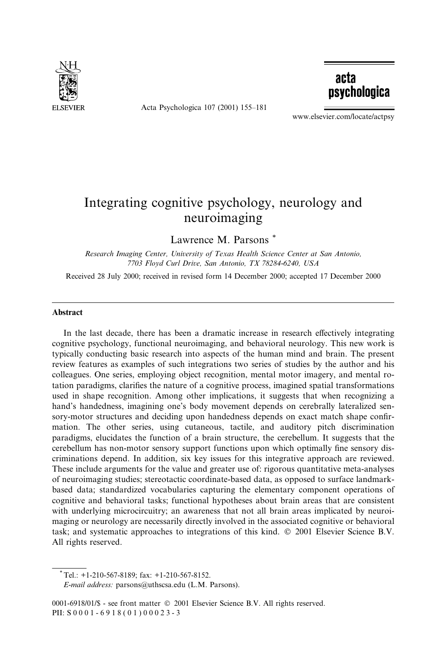

Acta Psychologica 107 (2001) 155-181



www.elsevier.com/locate/actpsy

## Integrating cognitive psychology, neurology and neuroimaging

Lawrence M. Parsons \*

Research Imaging Center, University of Texas Health Science Center at San Antonio, 7703 Floyd Curl Drive, San Antonio, TX 78284-6240, USA

Received 28 July 2000; received in revised form 14 December 2000; accepted 17 December 2000

## **Abstract**

In the last decade, there has been a dramatic increase in research effectively integrating cognitive psychology, functional neuroimaging, and behavioral neurology. This new work is typically conducting basic research into aspects of the human mind and brain. The present review features as examples of such integrations two series of studies by the author and his colleagues. One series, employing object recognition, mental motor imagery, and mental rotation paradigms, clarifies the nature of a cognitive process, imagined spatial transformations used in shape recognition. Among other implications, it suggests that when recognizing a hand's handedness, imagining one's body movement depends on cerebrally lateralized sensory-motor structures and deciding upon handedness depends on exact match shape confirmation. The other series, using cutaneous, tactile, and auditory pitch discrimination paradigms, elucidates the function of a brain structure, the cerebellum. It suggests that the cerebellum has non-motor sensory support functions upon which optimally fine sensory discriminations depend. In addition, six key issues for this integrative approach are reviewed. These include arguments for the value and greater use of: rigorous quantitative meta-analyses of neuroimaging studies; stereotactic coordinate-based data, as opposed to surface landmarkbased data; standardized vocabularies capturing the elementary component operations of cognitive and behavioral tasks; functional hypotheses about brain areas that are consistent with underlying microcircuitry; an awareness that not all brain areas implicated by neuroimaging or neurology are necessarily directly involved in the associated cognitive or behavioral task; and systematic approaches to integrations of this kind. © 2001 Elsevier Science B.V. All rights reserved.

E-mail address: parsons@uthscsa.edu (L.M. Parsons).

 $*$ Tel.: +1-210-567-8189; fax: +1-210-567-8152.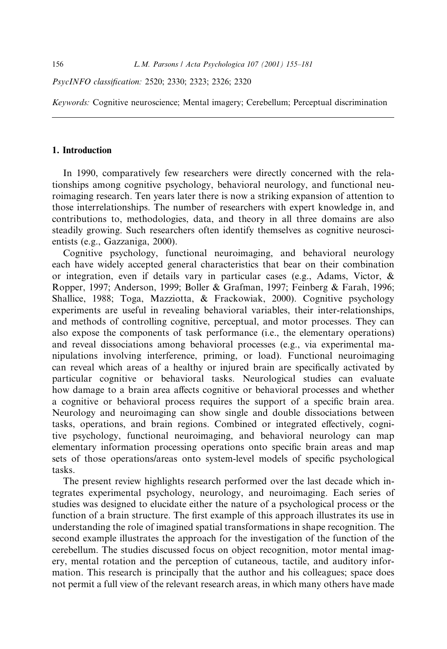PsycINFO classification: 2520; 2330; 2323; 2326; 2320

Keywords: Cognitive neuroscience; Mental imagery; Cerebellum; Perceptual discrimination

## 1. Introduction

In 1990, comparatively few researchers were directly concerned with the relationships among cognitive psychology, behavioral neurology, and functional neuroimaging research. Ten years later there is now a striking expansion of attention to those interrelationships. The number of researchers with expert knowledge in, and contributions to, methodologies, data, and theory in all three domains are also steadily growing. Such researchers often identify themselves as cognitive neuroscientists (e.g., Gazzaniga, 2000).

Cognitive psychology, functional neuroimaging, and behavioral neurology each have widely accepted general characteristics that bear on their combination or integration, even if details vary in particular cases (e.g., Adams, Victor,  $\&$ Ropper, 1997; Anderson, 1999; Boller & Grafman, 1997; Feinberg & Farah, 1996; Shallice, 1988; Toga, Mazziotta, & Frackowiak, 2000). Cognitive psychology experiments are useful in revealing behavioral variables, their inter-relationships, and methods of controlling cognitive, perceptual, and motor processes. They can also expose the components of task performance (i.e., the elementary operations) and reveal dissociations among behavioral processes (e.g., via experimental manipulations involving interference, priming, or load). Functional neuroimaging can reveal which areas of a healthy or injured brain are specifically activated by particular cognitive or behavioral tasks. Neurological studies can evaluate how damage to a brain area affects cognitive or behavioral processes and whether a cognitive or behavioral process requires the support of a specific brain area. Neurology and neuroimaging can show single and double dissociations between tasks, operations, and brain regions. Combined or integrated effectively, cognitive psychology, functional neuroimaging, and behavioral neurology can map elementary information processing operations onto specific brain areas and map sets of those operations/areas onto system-level models of specific psychological tasks.

The present review highlights research performed over the last decade which integrates experimental psychology, neurology, and neuroimaging. Each series of studies was designed to elucidate either the nature of a psychological process or the function of a brain structure. The first example of this approach illustrates its use in understanding the role of imagined spatial transformations in shape recognition. The second example illustrates the approach for the investigation of the function of the cerebellum. The studies discussed focus on object recognition, motor mental imagery, mental rotation and the perception of cutaneous, tactile, and auditory information. This research is principally that the author and his colleagues; space does not permit a full view of the relevant research areas, in which many others have made